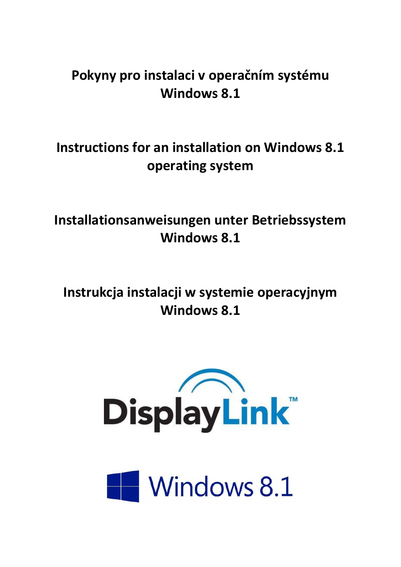# **Pokyny pro instalaci v operačním systému Windows 8.1**

# **Instructions for an installation on Windows 8.1 operating system**

**Installationsanweisungen unter Betriebssystem Windows 8.1**

**Instrukcja instalacji w systemie operacyjnym Windows 8.1**



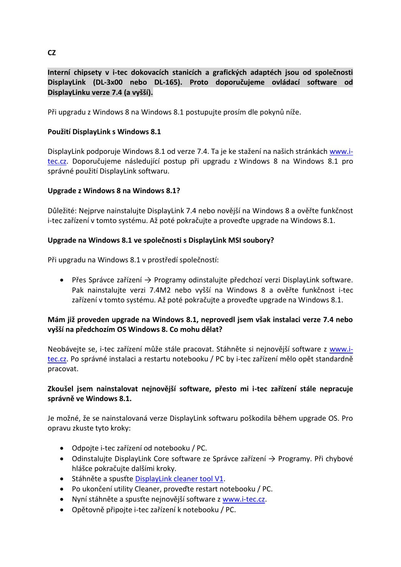# **Interní chipsety v i-tec dokovacích stanicích a grafických adaptéch jsou od společnosti DisplayLink (DL-3x00 nebo DL-165). Proto doporučujeme ovládací software od DisplayLinku verze 7.4 (a vyšší).**

Při upgradu z Windows 8 na Windows 8.1 postupujte prosím dle pokynů níže.

# **Použití DisplayLink s Windows 8.1**

DisplayLink podporuje Windows 8.1 od verze 7.4. Ta je ke stažení na našich stránkách [www.i](http://www.i-tec.cz/)[tec.cz.](http://www.i-tec.cz/) Doporučujeme následující postup při upgradu z Windows 8 na Windows 8.1 pro správné použití DisplayLink softwaru.

# **Upgrade z Windows 8 na Windows 8.1?**

Důležité: Nejprve nainstalujte DisplayLink 7.4 nebo novější na Windows 8 a ověřte funkčnost i-tec zařízení v tomto systému. Až poté pokračujte a proveďte upgrade na Windows 8.1.

# **Upgrade na Windows 8.1 ve společnosti s DisplayLink MSI soubory?**

Při upgradu na Windows 8.1 v prostředí společností:

 Přes Správce zařízení → Programy odinstalujte předchozí verzi DisplayLink software. Pak nainstalujte verzi 7.4M2 nebo vyšší na Windows 8 a ověřte funkčnost i-tec zařízení v tomto systému. Až poté pokračujte a proveďte upgrade na Windows 8.1.

# **Mám již proveden upgrade na Windows 8.1, neprovedl jsem však instalaci verze 7.4 nebo vyšší na předchozím OS Windows 8. Co mohu dělat?**

Neobávejte se, i-tec zařízení může stále pracovat. Stáhněte si nejnovější software z [www.i](http://www.i-tec.cz/)[tec.cz.](http://www.i-tec.cz/) Po správné instalaci a restartu notebooku / PC by i-tec zařízení mělo opět standardně pracovat.

# **Zkoušel jsem nainstalovat nejnovější software, přesto mi i-tec zařízení stále nepracuje správně ve Windows 8.1.**

Je možné, že se nainstalovaná verze DisplayLink softwaru poškodila během upgrade OS. Pro opravu zkuste tyto kroky:

- Odpojte i-tec zařízení od notebooku / PC.
- Odinstalujte DisplayLink Core software ze Správce zařízení → Programy. Při chybové hlášce pokračujte dalšími kroky.
- Stáhněte a spusťte [DisplayLink cleaner tool](http://displaylink.com/downloads/sla.php?fileid=121) V1.
- Po ukončení utility Cleaner, proveďte restart notebooku / PC.
- Nyní stáhněte a spusťte nejnovější software z [www.i-tec.cz.](http://www.i-tec.cz/)
- Opětovně připojte i-tec zařízení k notebooku / PC.

# **CZ**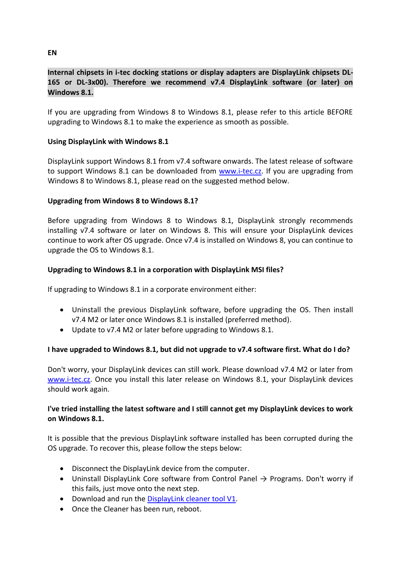# **Internal chipsets in i-tec docking stations or display adapters are DisplayLink chipsets DL-165 or DL-3x00). Therefore we recommend v7.4 DisplayLink software (or later) on Windows 8.1.**

If you are upgrading from Windows 8 to Windows 8.1, please refer to this article BEFORE upgrading to Windows 8.1 to make the experience as smooth as possible.

#### **Using DisplayLink with Windows 8.1**

DisplayLink support Windows 8.1 from v7.4 software onwards. The latest release of software to support Windows 8.1 can be downloaded from [www.i-tec.cz.](http://www.i-tec.cz/) If you are upgrading from Windows 8 to Windows 8.1, please read on the suggested method below.

## **Upgrading from Windows 8 to Windows 8.1?**

Before upgrading from Windows 8 to Windows 8.1, DisplayLink strongly recommends installing v7.4 software or later on Windows 8. This will ensure your DisplayLink devices continue to work after OS upgrade. Once v7.4 is installed on Windows 8, you can continue to upgrade the OS to Windows 8.1.

## **Upgrading to Windows 8.1 in a corporation with DisplayLink MSI files?**

If upgrading to Windows 8.1 in a corporate environment either:

- Uninstall the previous DisplayLink software, before upgrading the OS. Then install v7.4 M2 or later once Windows 8.1 is installed (preferred method).
- Update to v7.4 M2 or later before upgrading to Windows 8.1.

#### **I have upgraded to Windows 8.1, but did not upgrade to v7.4 software first. What do I do?**

Don't worry, your DisplayLink devices can still work. Please download v7.4 M2 or later from [www.i-tec.cz.](http://www.i-tec.cz/) Once you install this later release on Windows 8.1, your DisplayLink devices should work again.

# **I've tried installing the latest software and I still cannot get my DisplayLink devices to work on Windows 8.1.**

It is possible that the previous DisplayLink software installed has been corrupted during the OS upgrade. To recover this, please follow the steps below:

- Disconnect the DisplayLink device from the computer.
- Uninstall DisplayLink Core software from Control Panel  $\rightarrow$  Programs. Don't worry if this fails, just move onto the next step.
- Download and run the [DisplayLink cleaner tool](http://displaylink.com/downloads/sla.php?fileid=121) V1.
- Once the Cleaner has been run, reboot.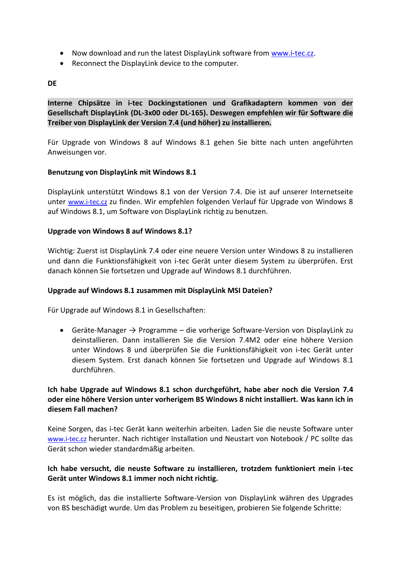- Now download and run the latest DisplayLink software from [www.i-tec.cz.](http://www.i-tec.cz/)
- Reconnect the DisplayLink device to the computer.

#### **DE**

**Interne Chipsätze in i-tec Dockingstationen und Grafikadaptern kommen von der Gesellschaft DisplayLink (DL-3x00 oder DL-165). Deswegen empfehlen wir für Software die Treiber von DisplayLink der Version 7.4 (und höher) zu installieren.**

Für Upgrade von Windows 8 auf Windows 8.1 gehen Sie bitte nach unten angeführten Anweisungen vor.

#### **Benutzung von DisplayLink mit Windows 8.1**

DisplayLink unterstützt Windows 8.1 von der Version 7.4. Die ist auf unserer Internetseite unter [www.i-tec.cz](http://www.i-tec.cz/) zu finden. Wir empfehlen folgenden Verlauf für Upgrade von Windows 8 auf Windows 8.1, um Software von DisplayLink richtig zu benutzen.

#### **Upgrade von Windows 8 auf Windows 8.1?**

Wichtig: Zuerst ist DisplayLink 7.4 oder eine neuere Version unter Windows 8 zu installieren und dann die Funktionsfähigkeit von i-tec Gerät unter diesem System zu überprüfen. Erst danach können Sie fortsetzen und Upgrade auf Windows 8.1 durchführen.

#### **Upgrade auf Windows 8.1 zusammen mit DisplayLink MSI Dateien?**

Für Upgrade auf Windows 8.1 in Gesellschaften:

 $\bullet$  Geräte-Manager  $\rightarrow$  Programme – die vorherige Software-Version von DisplayLink zu deinstallieren. Dann installieren Sie die Version 7.4M2 oder eine höhere Version unter Windows 8 und überprüfen Sie die Funktionsfähigkeit von i-tec Gerät unter diesem System. Erst danach können Sie fortsetzen und Upgrade auf Windows 8.1 durchführen.

# **Ich habe Upgrade auf Windows 8.1 schon durchgeführt, habe aber noch die Version 7.4 oder eine höhere Version unter vorherigem BS Windows 8 nicht installiert. Was kann ich in diesem Fall machen?**

Keine Sorgen, das i-tec Gerät kann weiterhin arbeiten. Laden Sie die neuste Software unter [www.i-tec.cz](http://www.i-tec.cz/) herunter. Nach richtiger Installation und Neustart von Notebook / PC sollte das Gerät schon wieder standardmäßig arbeiten.

## **Ich habe versucht, die neuste Software zu installieren, trotzdem funktioniert mein i-tec Gerät unter Windows 8.1 immer noch nicht richtig.**

Es ist möglich, das die installierte Software-Version von DisplayLink währen des Upgrades von BS beschädigt wurde. Um das Problem zu beseitigen, probieren Sie folgende Schritte: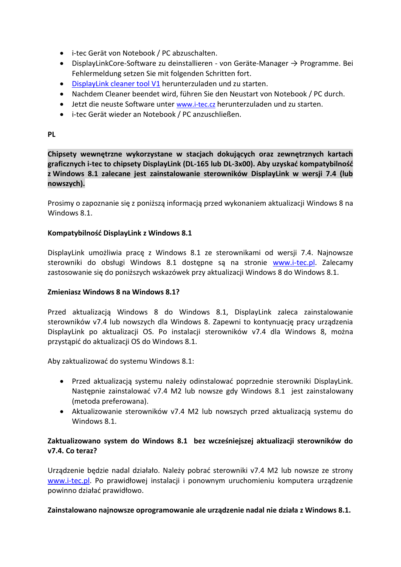- i-tec Gerät von Notebook / PC abzuschalten.
- DisplayLinkCore-Software zu deinstallieren von Geräte-Manager → Programme. Bei Fehlermeldung setzen Sie mit folgenden Schritten fort.
- [DisplayLink cleaner tool](http://displaylink.com/downloads/sla.php?fileid=121) V1 herunterzuladen und zu starten.
- Nachdem Cleaner beendet wird, führen Sie den Neustart von Notebook / PC durch.
- Jetzt die neuste Software unter [www.i-tec.cz](http://www.i-tec.cz/) herunterzuladen und zu starten.
- i-tec Gerät wieder an Notebook / PC anzuschließen.

**PL**

**Chipsety wewnętrzne wykorzystane w stacjach dokujących oraz zewnętrznych kartach graficznych i-tec to chipsety DisplayLink (DL-165 lub DL-3x00). Aby uzyskać kompatybilność z Windows 8.1 zalecane jest zainstalowanie sterowników DisplayLink w wersji 7.4 (lub nowszych).**

Prosimy o zapoznanie się z poniższą informacją przed wykonaniem aktualizacji Windows 8 na Windows 8.1

## **Kompatybilność DisplayLink z Windows 8.1**

DisplayLink umożliwia pracę z Windows 8.1 ze sterownikami od wersji 7.4. Najnowsze sterowniki do obsługi Windows 8.1 dostępne są na stronie [www.i-tec.p](http://www.i-tec./)l. Zalecamy zastosowanie się do poniższych wskazówek przy aktualizacji Windows 8 do Windows 8.1.

#### **Zmieniasz Windows 8 na Windows 8.1?**

Przed aktualizacją Windows 8 do Windows 8.1, DisplayLink zaleca zainstalowanie sterowników v7.4 lub nowszych dla Windows 8. Zapewni to kontynuację pracy urządzenia DisplayLink po aktualizacji OS. Po instalacji sterowników v7.4 dla Windows 8, można przystąpić do aktualizacji OS do Windows 8.1.

Aby zaktualizować do systemu Windows 8.1:

- Przed aktualizacją systemu należy odinstalować poprzednie sterowniki DisplayLink. Następnie zainstalować v7.4 M2 lub nowsze gdy Windows 8.1 jest zainstalowany (metoda preferowana).
- Aktualizowanie sterowników v7.4 M2 lub nowszych przed aktualizacją systemu do Windows 8.1.

# **Zaktualizowano system do Windows 8.1 bez wcześniejszej aktualizacji sterowników do v7.4. Co teraz?**

Urządzenie będzie nadal działało. Należy pobrać sterowniki v7.4 M2 lub nowsze ze strony [www.i-tec.pl](http://www.i-tec.pl/). Po prawidłowej instalacji i ponownym uruchomieniu komputera urządzenie powinno działać prawidłowo.

**Zainstalowano najnowsze oprogramowanie ale urządzenie nadal nie działa z Windows 8.1.**